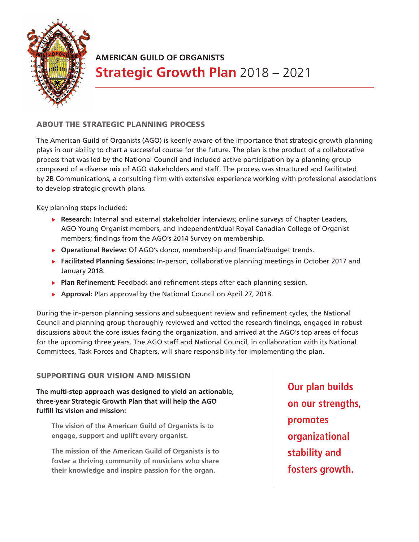

## **AMERICAN GUILD OF ORGANISTS Strategic Growth Plan** 2018 – 2021

## ABOUT THE STRATEGIC PLANNING PROCESS

The American Guild of Organists (AGO) is keenly aware of the importance that strategic growth planning plays in our ability to chart a successful course for the future. The plan is the product of a collaborative process that was led by the National Council and included active participation by a planning group composed of a diverse mix of AGO stakeholders and staff. The process was structured and facilitated by 2B Communications, a consulting firm with extensive experience working with professional associations to develop strategic growth plans.

Key planning steps included:

- **Research:** Internal and external stakeholder interviews; online surveys of Chapter Leaders, AGO Young Organist members, and independent/dual Royal Canadian College of Organist members; findings from the AGO's 2014 Survey on membership.
- **Operational Review:** Of AGO's donor, membership and financial/budget trends.
- **Facilitated Planning Sessions:** In-person, collaborative planning meetings in October 2017 and January 2018.
- **Plan Refinement:** Feedback and refinement steps after each planning session.
- ▶ **Approval: Plan approval by the National Council on April 27, 2018.**

During the in-person planning sessions and subsequent review and refinement cycles, the National Council and planning group thoroughly reviewed and vetted the research findings, engaged in robust discussions about the core issues facing the organization, and arrived at the AGO's top areas of focus for the upcoming three years. The AGO staff and National Council, in collaboration with its National Committees, Task Forces and Chapters, will share responsibility for implementing the plan.

## SUPPORTING OUR VISION AND MISSION

**The multi-step approach was designed to yield an actionable, three-year Strategic Growth Plan that will help the AGO fulfill its vision and mission:**

**The vision of the American Guild of Organists is to engage, support and uplift every organist.**

**The mission of the American Guild of Organists is to foster a thriving community of musicians who share their knowledge and inspire passion for the organ.**

**Our plan builds on our strengths, promotes organizational stability and fosters growth.**